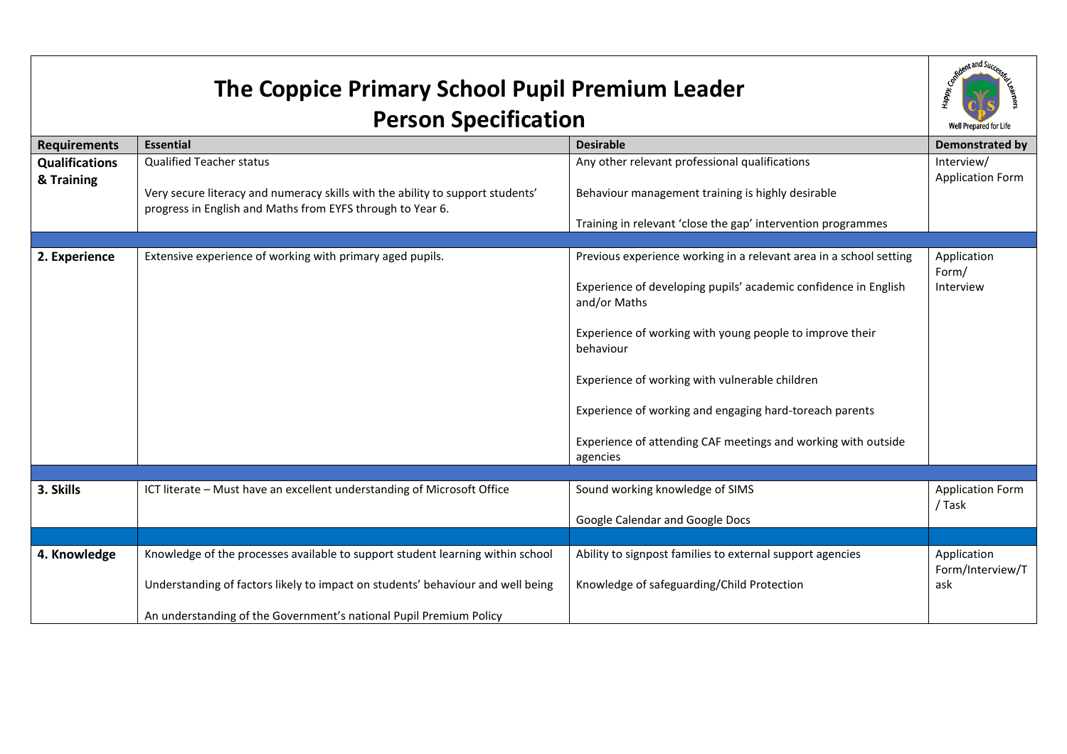| The Coppice Primary School Pupil Premium Leader |                                                                                                                                              |                                                                                 | Aent and Succ                         |
|-------------------------------------------------|----------------------------------------------------------------------------------------------------------------------------------------------|---------------------------------------------------------------------------------|---------------------------------------|
| <b>Person Specification</b>                     |                                                                                                                                              |                                                                                 | Well Prepared for Life                |
| <b>Requirements</b>                             | <b>Essential</b>                                                                                                                             | <b>Desirable</b>                                                                | <b>Demonstrated by</b>                |
| <b>Qualifications</b><br>& Training             | <b>Qualified Teacher status</b>                                                                                                              | Any other relevant professional qualifications                                  | Interview/<br><b>Application Form</b> |
|                                                 | Very secure literacy and numeracy skills with the ability to support students'<br>progress in English and Maths from EYFS through to Year 6. | Behaviour management training is highly desirable                               |                                       |
|                                                 |                                                                                                                                              | Training in relevant 'close the gap' intervention programmes                    |                                       |
| 2. Experience                                   | Extensive experience of working with primary aged pupils.                                                                                    | Previous experience working in a relevant area in a school setting              | Application<br>Form/                  |
|                                                 |                                                                                                                                              | Experience of developing pupils' academic confidence in English<br>and/or Maths | Interview                             |
|                                                 |                                                                                                                                              | Experience of working with young people to improve their<br>behaviour           |                                       |
|                                                 |                                                                                                                                              | Experience of working with vulnerable children                                  |                                       |
|                                                 |                                                                                                                                              | Experience of working and engaging hard-toreach parents                         |                                       |
|                                                 |                                                                                                                                              | Experience of attending CAF meetings and working with outside<br>agencies       |                                       |
|                                                 |                                                                                                                                              |                                                                                 |                                       |
| 3. Skills                                       | ICT literate - Must have an excellent understanding of Microsoft Office                                                                      | Sound working knowledge of SIMS                                                 | <b>Application Form</b><br>/ Task     |
|                                                 |                                                                                                                                              | Google Calendar and Google Docs                                                 |                                       |
|                                                 |                                                                                                                                              |                                                                                 |                                       |
| 4. Knowledge                                    | Knowledge of the processes available to support student learning within school                                                               | Ability to signpost families to external support agencies                       | Application<br>Form/Interview/T       |
|                                                 | Understanding of factors likely to impact on students' behaviour and well being                                                              | Knowledge of safeguarding/Child Protection                                      | ask                                   |
|                                                 | An understanding of the Government's national Pupil Premium Policy                                                                           |                                                                                 |                                       |